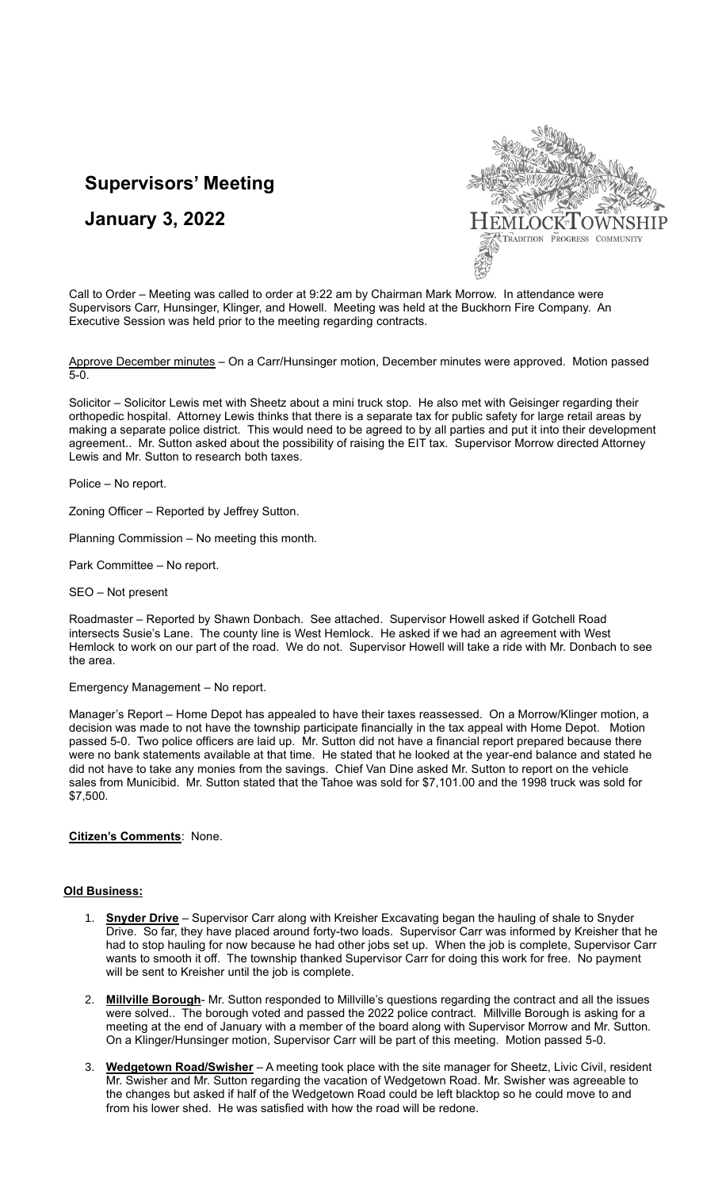# **Supervisors' Meeting**

# **January 3, 2022**



Call to Order – Meeting was called to order at 9:22 am by Chairman Mark Morrow. In attendance were Supervisors Carr, Hunsinger, Klinger, and Howell. Meeting was held at the Buckhorn Fire Company. An Executive Session was held prior to the meeting regarding contracts.

Approve December minutes - On a Carr/Hunsinger motion, December minutes were approved. Motion passed 5-0.

Solicitor – Solicitor Lewis met with Sheetz about a mini truck stop. He also met with Geisinger regarding their orthopedic hospital. Attorney Lewis thinks that there is a separate tax for public safety for large retail areas by making a separate police district. This would need to be agreed to by all parties and put it into their development agreement.. Mr. Sutton asked about the possibility of raising the EIT tax. Supervisor Morrow directed Attorney Lewis and Mr. Sutton to research both taxes.

Police – No report.

Zoning Officer – Reported by Jeffrey Sutton.

Planning Commission – No meeting this month.

Park Committee – No report.

SEO – Not present

Roadmaster – Reported by Shawn Donbach. See attached. Supervisor Howell asked if Gotchell Road intersects Susie's Lane. The county line is West Hemlock. He asked if we had an agreement with West Hemlock to work on our part of the road. We do not. Supervisor Howell will take a ride with Mr. Donbach to see the area.

Emergency Management – No report.

Manager's Report – Home Depot has appealed to have their taxes reassessed. On a Morrow/Klinger motion, a decision was made to not have the township participate financially in the tax appeal with Home Depot. Motion passed 5-0. Two police officers are laid up. Mr. Sutton did not have a financial report prepared because there were no bank statements available at that time. He stated that he looked at the year-end balance and stated he did not have to take any monies from the savings. Chief Van Dine asked Mr. Sutton to report on the vehicle sales from Municibid. Mr. Sutton stated that the Tahoe was sold for \$7,101.00 and the 1998 truck was sold for \$7,500.

### **Citizen's Comments**: None.

### **Old Business:**

- 1. **Snyder Drive** Supervisor Carr along with Kreisher Excavating began the hauling of shale to Snyder Drive. So far, they have placed around forty-two loads. Supervisor Carr was informed by Kreisher that he had to stop hauling for now because he had other jobs set up. When the job is complete, Supervisor Carr wants to smooth it off. The township thanked Supervisor Carr for doing this work for free. No payment will be sent to Kreisher until the job is complete.
- 2. **Millville Borough** Mr. Sutton responded to Millville's questions regarding the contract and all the issues were solved.. The borough voted and passed the 2022 police contract. Millville Borough is asking for a meeting at the end of January with a member of the board along with Supervisor Morrow and Mr. Sutton. On a Klinger/Hunsinger motion, Supervisor Carr will be part of this meeting. Motion passed 5-0.
- 3. **Wedgetown Road/Swisher** A meeting took place with the site manager for Sheetz, Livic Civil, resident Mr. Swisher and Mr. Sutton regarding the vacation of Wedgetown Road. Mr. Swisher was agreeable to the changes but asked if half of the Wedgetown Road could be left blacktop so he could move to and from his lower shed. He was satisfied with how the road will be redone.